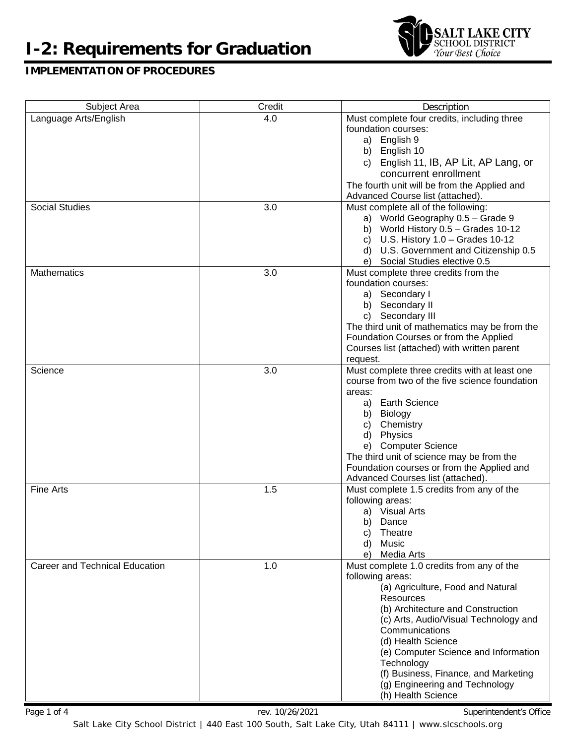# **I-2: Requirements for Graduation**



# **IMPLEMENTATION OF PROCEDURES**

| Language Arts/English<br>Must complete four credits, including three<br>4.0<br>foundation courses:<br>English 9<br>a)<br>b) English 10<br>English 11, IB, AP Lit, AP Lang, or<br>C)<br>concurrent enrollment<br>The fourth unit will be from the Applied and<br>Advanced Course list (attached).<br><b>Social Studies</b><br>3.0<br>Must complete all of the following:<br>a) World Geography 0.5 - Grade 9<br>b) World History $0.5 -$ Grades 10-12<br>c) U.S. History $1.0$ - Grades $10-12$<br>d) U.S. Government and Citizenship 0.5<br>e) Social Studies elective 0.5<br><b>Mathematics</b><br>3.0<br>Must complete three credits from the<br>foundation courses:<br>a) Secondary I<br>b) Secondary II<br>c) Secondary III<br>The third unit of mathematics may be from the<br>Foundation Courses or from the Applied<br>Courses list (attached) with written parent<br>request.<br>3.0<br>Must complete three credits with at least one<br>Science<br>course from two of the five science foundation<br>areas:<br>a) Earth Science<br>b) Biology<br>c) Chemistry<br>d) Physics<br>e) Computer Science<br>The third unit of science may be from the<br>Foundation courses or from the Applied and<br>Advanced Courses list (attached).<br><b>Fine Arts</b><br>1.5<br>Must complete 1.5 credits from any of the<br>following areas:<br>a) Visual Arts<br>b) Dance<br>Theatre<br>C)<br>Music<br>d)<br>Media Arts<br>e) | Subject Area | Credit | Description |
|---------------------------------------------------------------------------------------------------------------------------------------------------------------------------------------------------------------------------------------------------------------------------------------------------------------------------------------------------------------------------------------------------------------------------------------------------------------------------------------------------------------------------------------------------------------------------------------------------------------------------------------------------------------------------------------------------------------------------------------------------------------------------------------------------------------------------------------------------------------------------------------------------------------------------------------------------------------------------------------------------------------------------------------------------------------------------------------------------------------------------------------------------------------------------------------------------------------------------------------------------------------------------------------------------------------------------------------------------------------------------------------------------------------------------|--------------|--------|-------------|
|                                                                                                                                                                                                                                                                                                                                                                                                                                                                                                                                                                                                                                                                                                                                                                                                                                                                                                                                                                                                                                                                                                                                                                                                                                                                                                                                                                                                                           |              |        |             |
|                                                                                                                                                                                                                                                                                                                                                                                                                                                                                                                                                                                                                                                                                                                                                                                                                                                                                                                                                                                                                                                                                                                                                                                                                                                                                                                                                                                                                           |              |        |             |
|                                                                                                                                                                                                                                                                                                                                                                                                                                                                                                                                                                                                                                                                                                                                                                                                                                                                                                                                                                                                                                                                                                                                                                                                                                                                                                                                                                                                                           |              |        |             |
|                                                                                                                                                                                                                                                                                                                                                                                                                                                                                                                                                                                                                                                                                                                                                                                                                                                                                                                                                                                                                                                                                                                                                                                                                                                                                                                                                                                                                           |              |        |             |
|                                                                                                                                                                                                                                                                                                                                                                                                                                                                                                                                                                                                                                                                                                                                                                                                                                                                                                                                                                                                                                                                                                                                                                                                                                                                                                                                                                                                                           |              |        |             |
|                                                                                                                                                                                                                                                                                                                                                                                                                                                                                                                                                                                                                                                                                                                                                                                                                                                                                                                                                                                                                                                                                                                                                                                                                                                                                                                                                                                                                           |              |        |             |
|                                                                                                                                                                                                                                                                                                                                                                                                                                                                                                                                                                                                                                                                                                                                                                                                                                                                                                                                                                                                                                                                                                                                                                                                                                                                                                                                                                                                                           |              |        |             |
|                                                                                                                                                                                                                                                                                                                                                                                                                                                                                                                                                                                                                                                                                                                                                                                                                                                                                                                                                                                                                                                                                                                                                                                                                                                                                                                                                                                                                           |              |        |             |
|                                                                                                                                                                                                                                                                                                                                                                                                                                                                                                                                                                                                                                                                                                                                                                                                                                                                                                                                                                                                                                                                                                                                                                                                                                                                                                                                                                                                                           |              |        |             |
|                                                                                                                                                                                                                                                                                                                                                                                                                                                                                                                                                                                                                                                                                                                                                                                                                                                                                                                                                                                                                                                                                                                                                                                                                                                                                                                                                                                                                           |              |        |             |
|                                                                                                                                                                                                                                                                                                                                                                                                                                                                                                                                                                                                                                                                                                                                                                                                                                                                                                                                                                                                                                                                                                                                                                                                                                                                                                                                                                                                                           |              |        |             |
|                                                                                                                                                                                                                                                                                                                                                                                                                                                                                                                                                                                                                                                                                                                                                                                                                                                                                                                                                                                                                                                                                                                                                                                                                                                                                                                                                                                                                           |              |        |             |
|                                                                                                                                                                                                                                                                                                                                                                                                                                                                                                                                                                                                                                                                                                                                                                                                                                                                                                                                                                                                                                                                                                                                                                                                                                                                                                                                                                                                                           |              |        |             |
|                                                                                                                                                                                                                                                                                                                                                                                                                                                                                                                                                                                                                                                                                                                                                                                                                                                                                                                                                                                                                                                                                                                                                                                                                                                                                                                                                                                                                           |              |        |             |
|                                                                                                                                                                                                                                                                                                                                                                                                                                                                                                                                                                                                                                                                                                                                                                                                                                                                                                                                                                                                                                                                                                                                                                                                                                                                                                                                                                                                                           |              |        |             |
|                                                                                                                                                                                                                                                                                                                                                                                                                                                                                                                                                                                                                                                                                                                                                                                                                                                                                                                                                                                                                                                                                                                                                                                                                                                                                                                                                                                                                           |              |        |             |
|                                                                                                                                                                                                                                                                                                                                                                                                                                                                                                                                                                                                                                                                                                                                                                                                                                                                                                                                                                                                                                                                                                                                                                                                                                                                                                                                                                                                                           |              |        |             |
|                                                                                                                                                                                                                                                                                                                                                                                                                                                                                                                                                                                                                                                                                                                                                                                                                                                                                                                                                                                                                                                                                                                                                                                                                                                                                                                                                                                                                           |              |        |             |
|                                                                                                                                                                                                                                                                                                                                                                                                                                                                                                                                                                                                                                                                                                                                                                                                                                                                                                                                                                                                                                                                                                                                                                                                                                                                                                                                                                                                                           |              |        |             |
|                                                                                                                                                                                                                                                                                                                                                                                                                                                                                                                                                                                                                                                                                                                                                                                                                                                                                                                                                                                                                                                                                                                                                                                                                                                                                                                                                                                                                           |              |        |             |
|                                                                                                                                                                                                                                                                                                                                                                                                                                                                                                                                                                                                                                                                                                                                                                                                                                                                                                                                                                                                                                                                                                                                                                                                                                                                                                                                                                                                                           |              |        |             |
|                                                                                                                                                                                                                                                                                                                                                                                                                                                                                                                                                                                                                                                                                                                                                                                                                                                                                                                                                                                                                                                                                                                                                                                                                                                                                                                                                                                                                           |              |        |             |
|                                                                                                                                                                                                                                                                                                                                                                                                                                                                                                                                                                                                                                                                                                                                                                                                                                                                                                                                                                                                                                                                                                                                                                                                                                                                                                                                                                                                                           |              |        |             |
|                                                                                                                                                                                                                                                                                                                                                                                                                                                                                                                                                                                                                                                                                                                                                                                                                                                                                                                                                                                                                                                                                                                                                                                                                                                                                                                                                                                                                           |              |        |             |
|                                                                                                                                                                                                                                                                                                                                                                                                                                                                                                                                                                                                                                                                                                                                                                                                                                                                                                                                                                                                                                                                                                                                                                                                                                                                                                                                                                                                                           |              |        |             |
|                                                                                                                                                                                                                                                                                                                                                                                                                                                                                                                                                                                                                                                                                                                                                                                                                                                                                                                                                                                                                                                                                                                                                                                                                                                                                                                                                                                                                           |              |        |             |
|                                                                                                                                                                                                                                                                                                                                                                                                                                                                                                                                                                                                                                                                                                                                                                                                                                                                                                                                                                                                                                                                                                                                                                                                                                                                                                                                                                                                                           |              |        |             |
|                                                                                                                                                                                                                                                                                                                                                                                                                                                                                                                                                                                                                                                                                                                                                                                                                                                                                                                                                                                                                                                                                                                                                                                                                                                                                                                                                                                                                           |              |        |             |
|                                                                                                                                                                                                                                                                                                                                                                                                                                                                                                                                                                                                                                                                                                                                                                                                                                                                                                                                                                                                                                                                                                                                                                                                                                                                                                                                                                                                                           |              |        |             |
|                                                                                                                                                                                                                                                                                                                                                                                                                                                                                                                                                                                                                                                                                                                                                                                                                                                                                                                                                                                                                                                                                                                                                                                                                                                                                                                                                                                                                           |              |        |             |
|                                                                                                                                                                                                                                                                                                                                                                                                                                                                                                                                                                                                                                                                                                                                                                                                                                                                                                                                                                                                                                                                                                                                                                                                                                                                                                                                                                                                                           |              |        |             |
|                                                                                                                                                                                                                                                                                                                                                                                                                                                                                                                                                                                                                                                                                                                                                                                                                                                                                                                                                                                                                                                                                                                                                                                                                                                                                                                                                                                                                           |              |        |             |
|                                                                                                                                                                                                                                                                                                                                                                                                                                                                                                                                                                                                                                                                                                                                                                                                                                                                                                                                                                                                                                                                                                                                                                                                                                                                                                                                                                                                                           |              |        |             |
|                                                                                                                                                                                                                                                                                                                                                                                                                                                                                                                                                                                                                                                                                                                                                                                                                                                                                                                                                                                                                                                                                                                                                                                                                                                                                                                                                                                                                           |              |        |             |
|                                                                                                                                                                                                                                                                                                                                                                                                                                                                                                                                                                                                                                                                                                                                                                                                                                                                                                                                                                                                                                                                                                                                                                                                                                                                                                                                                                                                                           |              |        |             |
|                                                                                                                                                                                                                                                                                                                                                                                                                                                                                                                                                                                                                                                                                                                                                                                                                                                                                                                                                                                                                                                                                                                                                                                                                                                                                                                                                                                                                           |              |        |             |
|                                                                                                                                                                                                                                                                                                                                                                                                                                                                                                                                                                                                                                                                                                                                                                                                                                                                                                                                                                                                                                                                                                                                                                                                                                                                                                                                                                                                                           |              |        |             |
|                                                                                                                                                                                                                                                                                                                                                                                                                                                                                                                                                                                                                                                                                                                                                                                                                                                                                                                                                                                                                                                                                                                                                                                                                                                                                                                                                                                                                           |              |        |             |
|                                                                                                                                                                                                                                                                                                                                                                                                                                                                                                                                                                                                                                                                                                                                                                                                                                                                                                                                                                                                                                                                                                                                                                                                                                                                                                                                                                                                                           |              |        |             |
|                                                                                                                                                                                                                                                                                                                                                                                                                                                                                                                                                                                                                                                                                                                                                                                                                                                                                                                                                                                                                                                                                                                                                                                                                                                                                                                                                                                                                           |              |        |             |
| Career and Technical Education<br>1.0<br>Must complete 1.0 credits from any of the                                                                                                                                                                                                                                                                                                                                                                                                                                                                                                                                                                                                                                                                                                                                                                                                                                                                                                                                                                                                                                                                                                                                                                                                                                                                                                                                        |              |        |             |
| following areas:                                                                                                                                                                                                                                                                                                                                                                                                                                                                                                                                                                                                                                                                                                                                                                                                                                                                                                                                                                                                                                                                                                                                                                                                                                                                                                                                                                                                          |              |        |             |
| (a) Agriculture, Food and Natural                                                                                                                                                                                                                                                                                                                                                                                                                                                                                                                                                                                                                                                                                                                                                                                                                                                                                                                                                                                                                                                                                                                                                                                                                                                                                                                                                                                         |              |        |             |
| <b>Resources</b>                                                                                                                                                                                                                                                                                                                                                                                                                                                                                                                                                                                                                                                                                                                                                                                                                                                                                                                                                                                                                                                                                                                                                                                                                                                                                                                                                                                                          |              |        |             |
| (b) Architecture and Construction                                                                                                                                                                                                                                                                                                                                                                                                                                                                                                                                                                                                                                                                                                                                                                                                                                                                                                                                                                                                                                                                                                                                                                                                                                                                                                                                                                                         |              |        |             |
| (c) Arts, Audio/Visual Technology and                                                                                                                                                                                                                                                                                                                                                                                                                                                                                                                                                                                                                                                                                                                                                                                                                                                                                                                                                                                                                                                                                                                                                                                                                                                                                                                                                                                     |              |        |             |
| Communications                                                                                                                                                                                                                                                                                                                                                                                                                                                                                                                                                                                                                                                                                                                                                                                                                                                                                                                                                                                                                                                                                                                                                                                                                                                                                                                                                                                                            |              |        |             |
| (d) Health Science                                                                                                                                                                                                                                                                                                                                                                                                                                                                                                                                                                                                                                                                                                                                                                                                                                                                                                                                                                                                                                                                                                                                                                                                                                                                                                                                                                                                        |              |        |             |
| (e) Computer Science and Information                                                                                                                                                                                                                                                                                                                                                                                                                                                                                                                                                                                                                                                                                                                                                                                                                                                                                                                                                                                                                                                                                                                                                                                                                                                                                                                                                                                      |              |        |             |
| Technology                                                                                                                                                                                                                                                                                                                                                                                                                                                                                                                                                                                                                                                                                                                                                                                                                                                                                                                                                                                                                                                                                                                                                                                                                                                                                                                                                                                                                |              |        |             |
| (f) Business, Finance, and Marketing                                                                                                                                                                                                                                                                                                                                                                                                                                                                                                                                                                                                                                                                                                                                                                                                                                                                                                                                                                                                                                                                                                                                                                                                                                                                                                                                                                                      |              |        |             |
| (g) Engineering and Technology                                                                                                                                                                                                                                                                                                                                                                                                                                                                                                                                                                                                                                                                                                                                                                                                                                                                                                                                                                                                                                                                                                                                                                                                                                                                                                                                                                                            |              |        |             |
| (h) Health Science                                                                                                                                                                                                                                                                                                                                                                                                                                                                                                                                                                                                                                                                                                                                                                                                                                                                                                                                                                                                                                                                                                                                                                                                                                                                                                                                                                                                        |              |        |             |

Page 1 of 4 Superintendent's Office Rev. 10/26/2021 Change 1 and Superintendent's Office

Salt Lake City School District | 440 East 100 South, Salt Lake City, Utah 84111 | www.slcschools.org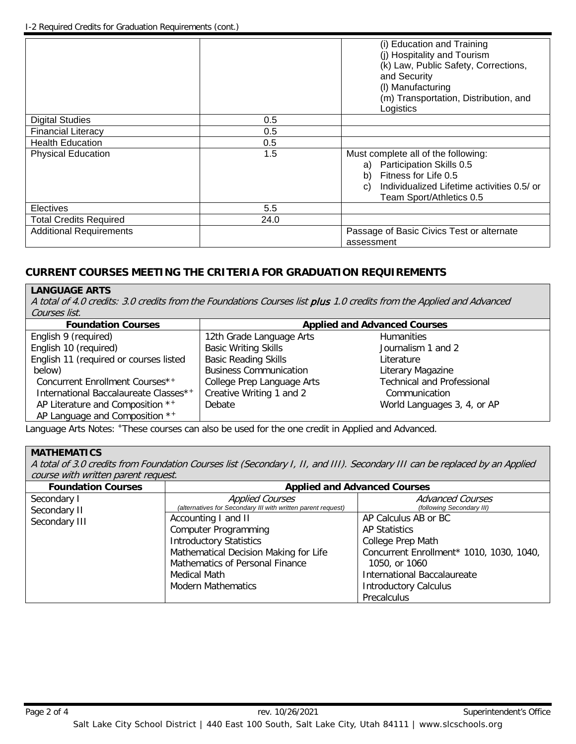|                                |      | (i) Education and Training<br>(i) Hospitality and Tourism<br>(k) Law, Public Safety, Corrections,<br>and Security<br>(I) Manufacturing<br>(m) Transportation, Distribution, and<br>Logistics |
|--------------------------------|------|----------------------------------------------------------------------------------------------------------------------------------------------------------------------------------------------|
| <b>Digital Studies</b>         | 0.5  |                                                                                                                                                                                              |
| <b>Financial Literacy</b>      | 0.5  |                                                                                                                                                                                              |
| <b>Health Education</b>        | 0.5  |                                                                                                                                                                                              |
| <b>Physical Education</b>      | 1.5  | Must complete all of the following:<br>Participation Skills 0.5<br>a)<br>Fitness for Life 0.5<br>b)<br>Individualized Lifetime activities 0.5/ or<br>C)<br>Team Sport/Athletics 0.5          |
| Electives                      | 5.5  |                                                                                                                                                                                              |
| <b>Total Credits Required</b>  | 24.0 |                                                                                                                                                                                              |
| <b>Additional Requirements</b> |      | Passage of Basic Civics Test or alternate<br>assessment                                                                                                                                      |

# **CURRENT COURSES MEETING THE CRITERIA FOR GRADUATION REQUIREMENTS**

#### **LANGUAGE ARTS**

A total of 4.0 credits: 3.0 credits from the Foundations Courses list plus 1.0 credits from the Applied and Advanced Courses list.

| <b>Foundation Courses</b>              | <b>Applied and Advanced Courses</b> |                                   |  |
|----------------------------------------|-------------------------------------|-----------------------------------|--|
| English 9 (required)                   | 12th Grade Language Arts            | <b>Humanities</b>                 |  |
| English 10 (required)                  | <b>Basic Writing Skills</b>         | Journalism 1 and 2                |  |
| English 11 (required or courses listed | <b>Basic Reading Skills</b>         | Literature                        |  |
| below)                                 | <b>Business Communication</b>       | Literary Magazine                 |  |
| Concurrent Enrollment Courses*+        | College Prep Language Arts          | <b>Technical and Professional</b> |  |
| International Baccalaureate Classes**  | Creative Writing 1 and 2            | Communication                     |  |
| AP Literature and Composition **       | Debate                              | World Languages 3, 4, or AP       |  |
| AP Language and Composition **         |                                     |                                   |  |

Language Arts Notes: +These courses can also be used for the one credit in Applied and Advanced.

# **MATHEMATICS**

A total of 3.0 credits from Foundation Courses list (Secondary I, II, and III). Secondary III can be replaced by an Applied course with written parent request.

| <b>Foundation Courses</b>   | <b>Applied and Advanced Courses</b>                                                    |                                                      |  |  |
|-----------------------------|----------------------------------------------------------------------------------------|------------------------------------------------------|--|--|
| Secondary I<br>Secondary II | <b>Applied Courses</b><br>(alternatives for Secondary III with written parent request) | <b>Advanced Courses</b><br>(following Secondary III) |  |  |
| Secondary III               | Accounting I and II                                                                    | AP Calculus AB or BC                                 |  |  |
|                             | <b>Computer Programming</b>                                                            | <b>AP Statistics</b>                                 |  |  |
|                             | <b>Introductory Statistics</b>                                                         | College Prep Math                                    |  |  |
|                             | Mathematical Decision Making for Life                                                  | Concurrent Enrollment* 1010, 1030, 1040,             |  |  |
|                             | Mathematics of Personal Finance                                                        | 1050, or 1060<br><b>International Baccalaureate</b>  |  |  |
|                             | Medical Math                                                                           |                                                      |  |  |
|                             | <b>Modern Mathematics</b>                                                              | <b>Introductory Calculus</b>                         |  |  |
|                             |                                                                                        | Precalculus                                          |  |  |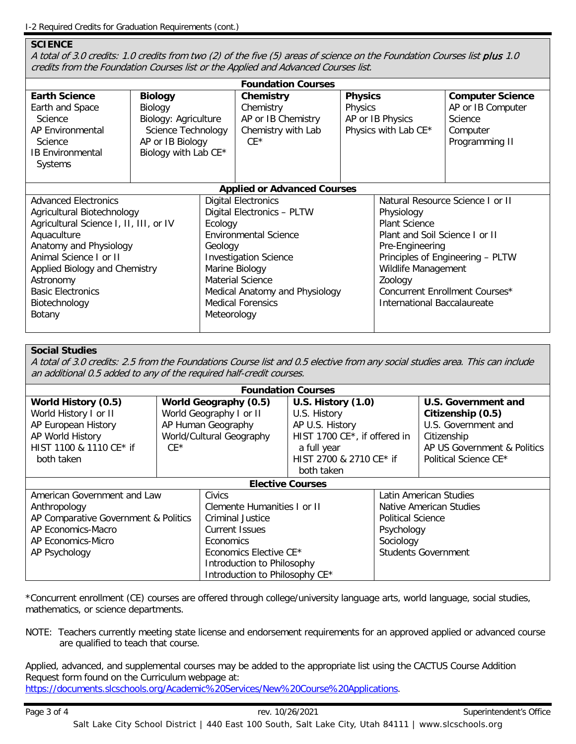#### **SCIENCE**

A total of 3.0 credits: 1.0 credits from two (2) of the five (5) areas of science on the Foundation Courses list plus 1.0 credits from the Foundation Courses list or the Applied and Advanced Courses list.

| <b>Foundation Courses</b>                         |                                 |                              |                                 |                                  |                                  |                              |
|---------------------------------------------------|---------------------------------|------------------------------|---------------------------------|----------------------------------|----------------------------------|------------------------------|
| <b>Earth Science</b>                              | <b>Biology</b>                  |                              | Chemistry                       | <b>Physics</b>                   |                                  | <b>Computer Science</b>      |
| Earth and Space<br><b>Science</b>                 | Biology<br>Biology: Agriculture |                              | Chemistry<br>AP or IB Chemistry | Physics<br>AP or IB Physics      |                                  | AP or IB Computer<br>Science |
| AP Environmental                                  | Science Technology              |                              | Chemistry with Lab              | Physics with Lab CE*             |                                  | Computer                     |
| Science                                           | AP or IB Biology                |                              | $CF*$                           |                                  |                                  | Programming II               |
| <b>IB Environmental</b>                           | Biology with Lab CE*            |                              |                                 |                                  |                                  |                              |
| Systems                                           |                                 |                              |                                 |                                  |                                  |                              |
| <b>Applied or Advanced Courses</b>                |                                 |                              |                                 |                                  |                                  |                              |
| <b>Advanced Electronics</b>                       |                                 | <b>Digital Electronics</b>   |                                 | Natural Resource Science I or II |                                  |                              |
| Agricultural Biotechnology                        |                                 |                              | Digital Electronics - PLTW      |                                  | Physiology                       |                              |
| Agricultural Science I, II, III, or IV<br>Ecology |                                 |                              |                                 | <b>Plant Science</b>             |                                  |                              |
| Aquaculture                                       |                                 | <b>Environmental Science</b> |                                 | Plant and Soil Science I or II   |                                  |                              |
| Anatomy and Physiology<br>Geology                 |                                 |                              |                                 | Pre-Engineering                  |                                  |                              |
| Animal Science I or II                            |                                 |                              | <b>Investigation Science</b>    |                                  | Principles of Engineering - PLTW |                              |
|                                                   | Applied Biology and Chemistry   |                              | Marine Biology                  |                                  | Wildlife Management              |                              |
| Astronomy                                         |                                 |                              | Material Science                |                                  | Zoology                          |                              |
| <b>Basic Electronics</b>                          |                                 |                              | Medical Anatomy and Physiology  |                                  | Concurrent Enrollment Courses*   |                              |
| Biotechnology                                     |                                 | <b>Medical Forensics</b>     |                                 | International Baccalaureate      |                                  |                              |
| Botany<br>Meteorology                             |                                 |                              |                                 |                                  |                                  |                              |
|                                                   |                                 |                              |                                 |                                  |                                  |                              |

# **Social Studies**

A total of 3.0 credits: 2.5 from the Foundations Course list and 0.5 elective from any social studies area. This can include an additional 0.5 added to any of the required half-credit courses.

| <b>Foundation Courses</b>            |                          |                                |                              |                          |                             |
|--------------------------------------|--------------------------|--------------------------------|------------------------------|--------------------------|-----------------------------|
| World History (0.5)                  | World Geography (0.5)    |                                | <b>U.S. History (1.0)</b>    |                          | U.S. Government and         |
| World History I or II                | World Geography I or II  |                                | U.S. History                 |                          | Citizenship (0.5)           |
| AP European History                  | AP Human Geography       |                                | AP U.S. History              |                          | U.S. Government and         |
| AP World History                     | World/Cultural Geography |                                | HIST 1700 CE*, if offered in |                          | Citizenship                 |
| HIST 1100 & 1110 CE* if              | $CF*$                    |                                | a full year                  |                          | AP US Government & Politics |
| both taken                           |                          | HIST 2700 & 2710 CE* if        |                              |                          | Political Science CE*       |
|                                      |                          |                                | both taken                   |                          |                             |
| <b>Elective Courses</b>              |                          |                                |                              |                          |                             |
| American Government and Law          |                          | <b>Civics</b>                  |                              | Latin American Studies   |                             |
| Anthropology                         |                          | Clemente Humanities I or II    |                              | Native American Studies  |                             |
| AP Comparative Government & Politics |                          | <b>Criminal Justice</b>        |                              | <b>Political Science</b> |                             |
| AP Economics-Macro                   |                          | <b>Current Issues</b>          |                              | Psychology               |                             |
| AP Economics-Micro<br>Economics      |                          |                                | Sociology                    |                          |                             |
| AP Psychology                        |                          | Economics Elective CE*         |                              |                          | <b>Students Government</b>  |
|                                      |                          | Introduction to Philosophy     |                              |                          |                             |
|                                      |                          | Introduction to Philosophy CE* |                              |                          |                             |

\*Concurrent enrollment (CE) courses are offered through college/university language arts, world language, social studies, mathematics, or science departments.

NOTE: Teachers currently meeting state license and endorsement requirements for an approved applied or advanced course are qualified to teach that course.

Applied, advanced, and supplemental courses may be added to the appropriate list using the CACTUS Course Addition Request form found on the Curriculum webpage at: [https://documents.slcschools.org/Academic%20Services/New%20Course%20Applications.](https://documents.slcschools.org/Academic%20Services/New%20Course%20Applications)